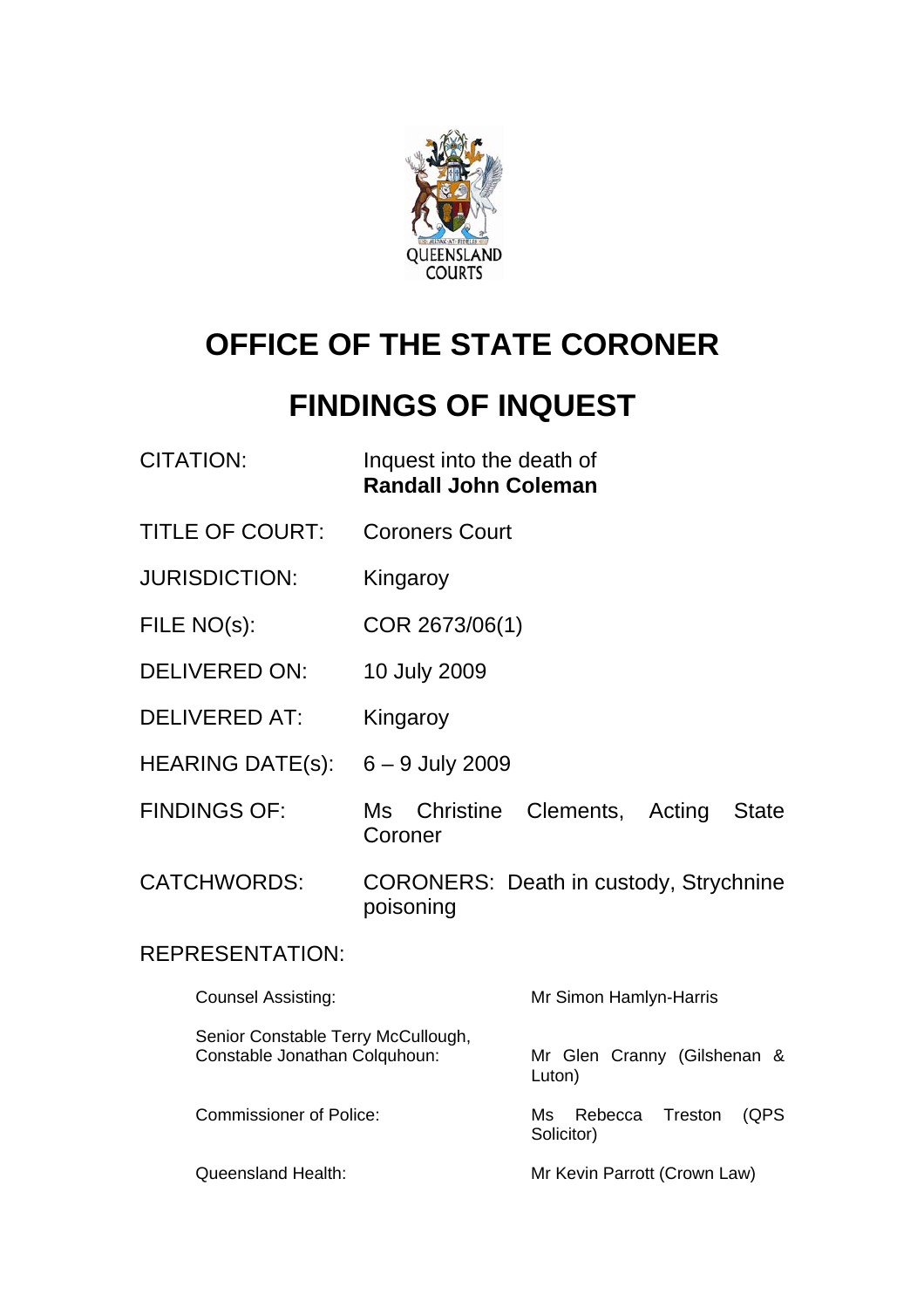

# **OFFICE OF THE STATE CORONER**

# **FINDINGS OF INQUEST**

| <b>CITATION:</b>                                                    | Inquest into the death of<br><b>Randall John Coleman</b> |                                                |
|---------------------------------------------------------------------|----------------------------------------------------------|------------------------------------------------|
| <b>TITLE OF COURT:</b>                                              | <b>Coroners Court</b>                                    |                                                |
| <b>JURISDICTION:</b>                                                | Kingaroy                                                 |                                                |
| FILE NO(s):                                                         | COR 2673/06(1)                                           |                                                |
| <b>DELIVERED ON:</b>                                                | 10 July 2009                                             |                                                |
| <b>DELIVERED AT:</b>                                                | Kingaroy                                                 |                                                |
| <b>HEARING DATE(s):</b>                                             | $6 - 9$ July 2009                                        |                                                |
| <b>FINDINGS OF:</b>                                                 | Ms Christine<br>Coroner                                  | Clements,<br>Acting<br><b>State</b>            |
| <b>CATCHWORDS:</b>                                                  | poisoning                                                | <b>CORONERS: Death in custody, Strychnine</b>  |
| <b>REPRESENTATION:</b>                                              |                                                          |                                                |
| <b>Counsel Assisting:</b>                                           |                                                          | Mr Simon Hamlyn-Harris                         |
| Senior Constable Terry McCullough,<br>Constable Jonathan Colquhoun: |                                                          | Mr Glen Cranny (Gilshenan &<br>Luton)          |
| <b>Commissioner of Police:</b>                                      |                                                          | Treston<br>(QPS<br>Ms<br>Rebecca<br>Solicitor) |
| <b>Queensland Health:</b>                                           |                                                          | Mr Kevin Parrott (Crown Law)                   |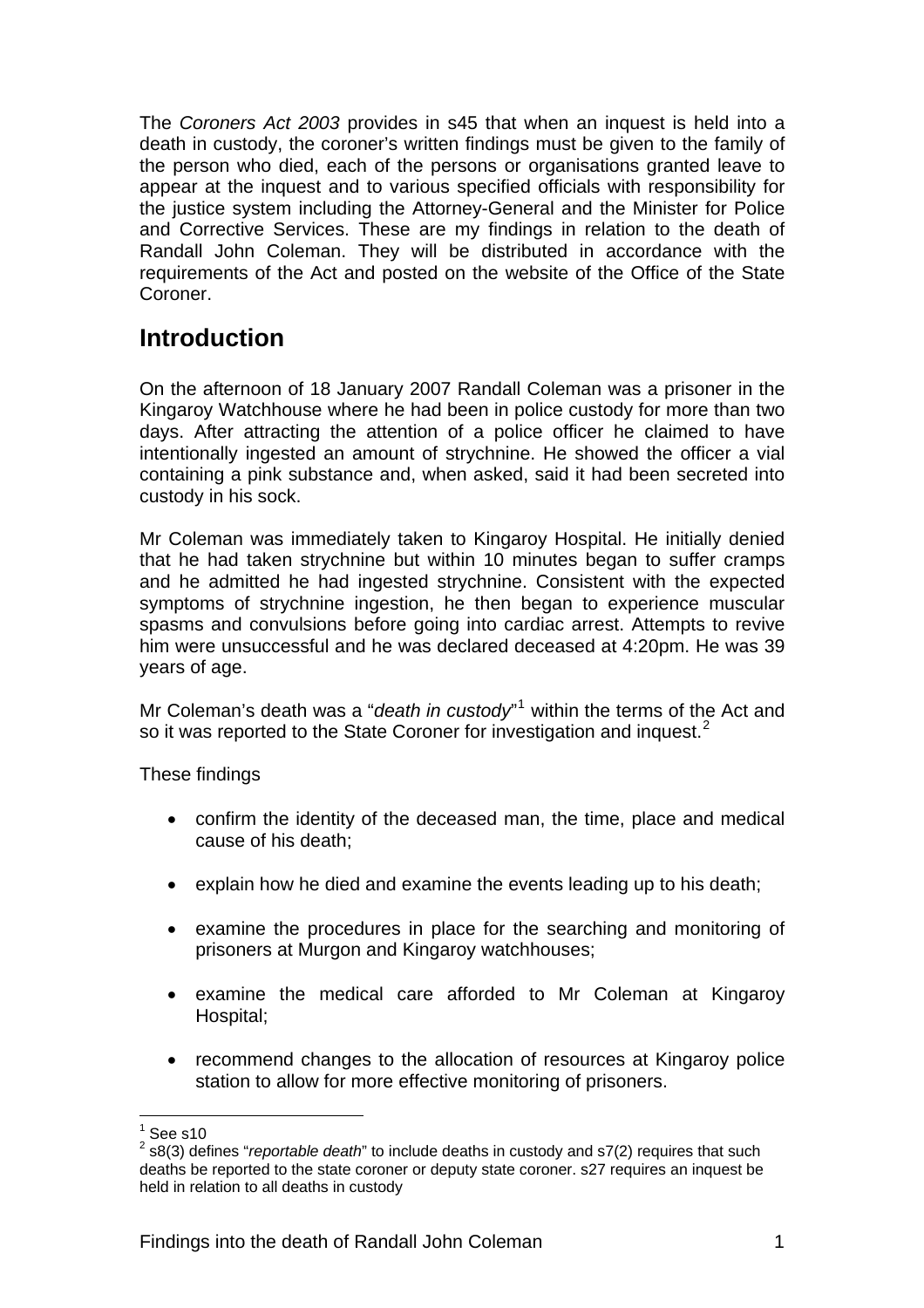The *Coroners Act 2003* provides in s45 that when an inquest is held into a death in custody, the coroner's written findings must be given to the family of the person who died, each of the persons or organisations granted leave to appear at the inquest and to various specified officials with responsibility for the justice system including the Attorney-General and the Minister for Police and Corrective Services. These are my findings in relation to the death of Randall John Coleman. They will be distributed in accordance with the requirements of the Act and posted on the website of the Office of the State Coroner.

# **Introduction**

On the afternoon of 18 January 2007 Randall Coleman was a prisoner in the Kingaroy Watchhouse where he had been in police custody for more than two days. After attracting the attention of a police officer he claimed to have intentionally ingested an amount of strychnine. He showed the officer a vial containing a pink substance and, when asked, said it had been secreted into custody in his sock.

Mr Coleman was immediately taken to Kingaroy Hospital. He initially denied that he had taken strychnine but within 10 minutes began to suffer cramps and he admitted he had ingested strychnine. Consistent with the expected symptoms of strychnine ingestion, he then began to experience muscular spasms and convulsions before going into cardiac arrest. Attempts to revive him were unsuccessful and he was declared deceased at 4:20pm. He was 39 years of age.

Mr Coleman's death was a "*death in custody*"<sup>[1](#page-1-0)</sup> within the terms of the Act and so it was reported to the State Coroner for investigation and inquest.<sup>[2](#page-1-1)</sup>

These findings

- confirm the identity of the deceased man, the time, place and medical cause of his death;
- explain how he died and examine the events leading up to his death;
- examine the procedures in place for the searching and monitoring of prisoners at Murgon and Kingaroy watchhouses;
- examine the medical care afforded to Mr Coleman at Kingaroy Hospital;
- recommend changes to the allocation of resources at Kingaroy police station to allow for more effective monitoring of prisoners.

l 1 See s10

<span id="page-1-1"></span><span id="page-1-0"></span><sup>2</sup> s8(3) defines "*reportable death*" to include deaths in custody and s7(2) requires that such deaths be reported to the state coroner or deputy state coroner. s27 requires an inquest be held in relation to all deaths in custody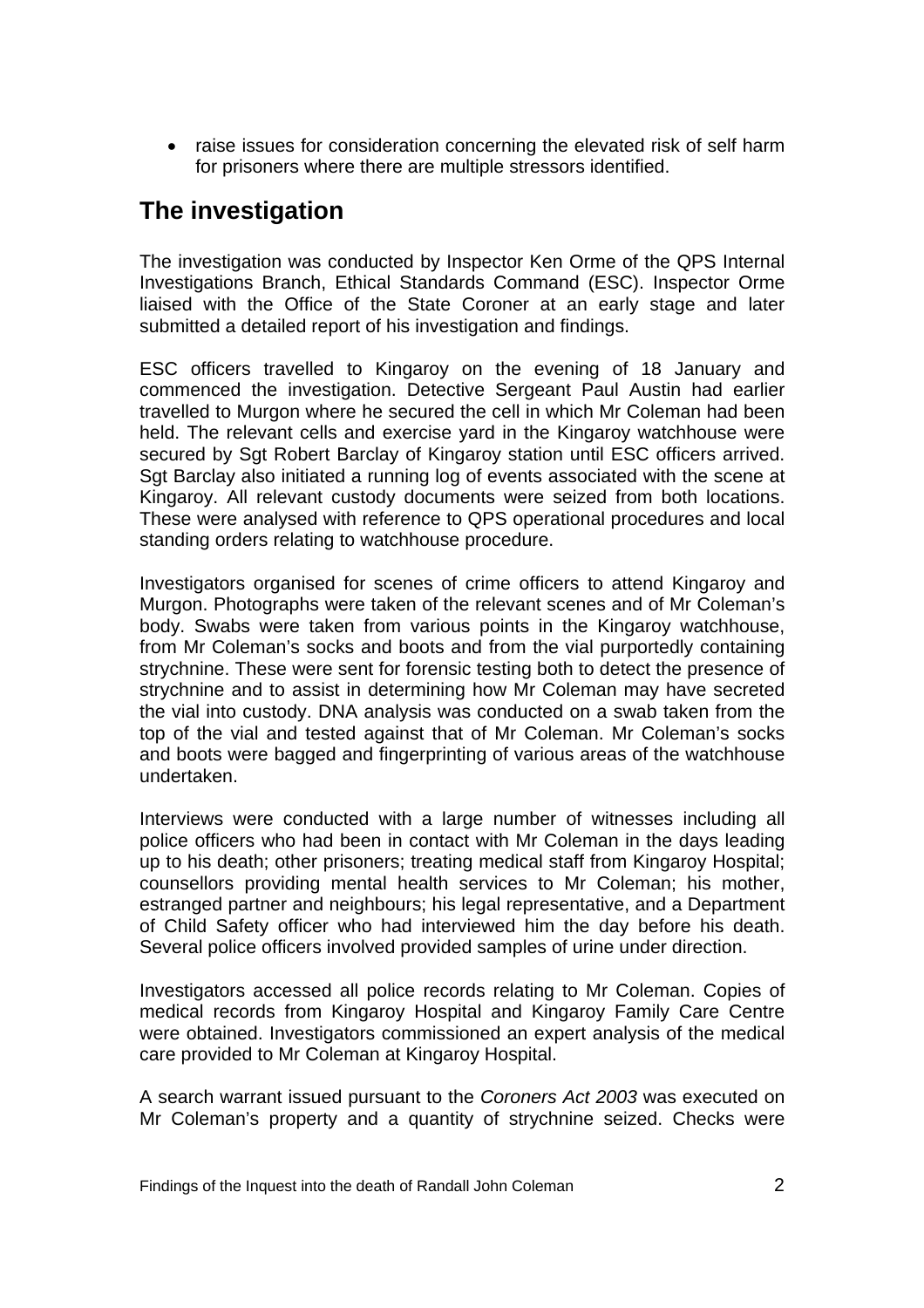• raise issues for consideration concerning the elevated risk of self harm for prisoners where there are multiple stressors identified.

# **The investigation**

The investigation was conducted by Inspector Ken Orme of the QPS Internal Investigations Branch, Ethical Standards Command (ESC). Inspector Orme liaised with the Office of the State Coroner at an early stage and later submitted a detailed report of his investigation and findings.

ESC officers travelled to Kingaroy on the evening of 18 January and commenced the investigation. Detective Sergeant Paul Austin had earlier travelled to Murgon where he secured the cell in which Mr Coleman had been held. The relevant cells and exercise yard in the Kingaroy watchhouse were secured by Sgt Robert Barclay of Kingaroy station until ESC officers arrived. Sgt Barclay also initiated a running log of events associated with the scene at Kingaroy. All relevant custody documents were seized from both locations. These were analysed with reference to QPS operational procedures and local standing orders relating to watchhouse procedure.

Investigators organised for scenes of crime officers to attend Kingaroy and Murgon. Photographs were taken of the relevant scenes and of Mr Coleman's body. Swabs were taken from various points in the Kingaroy watchhouse, from Mr Coleman's socks and boots and from the vial purportedly containing strychnine. These were sent for forensic testing both to detect the presence of strychnine and to assist in determining how Mr Coleman may have secreted the vial into custody. DNA analysis was conducted on a swab taken from the top of the vial and tested against that of Mr Coleman. Mr Coleman's socks and boots were bagged and fingerprinting of various areas of the watchhouse undertaken.

Interviews were conducted with a large number of witnesses including all police officers who had been in contact with Mr Coleman in the days leading up to his death; other prisoners; treating medical staff from Kingaroy Hospital; counsellors providing mental health services to Mr Coleman; his mother, estranged partner and neighbours; his legal representative, and a Department of Child Safety officer who had interviewed him the day before his death. Several police officers involved provided samples of urine under direction.

Investigators accessed all police records relating to Mr Coleman. Copies of medical records from Kingaroy Hospital and Kingaroy Family Care Centre were obtained. Investigators commissioned an expert analysis of the medical care provided to Mr Coleman at Kingaroy Hospital.

A search warrant issued pursuant to the *Coroners Act 2003* was executed on Mr Coleman's property and a quantity of strychnine seized. Checks were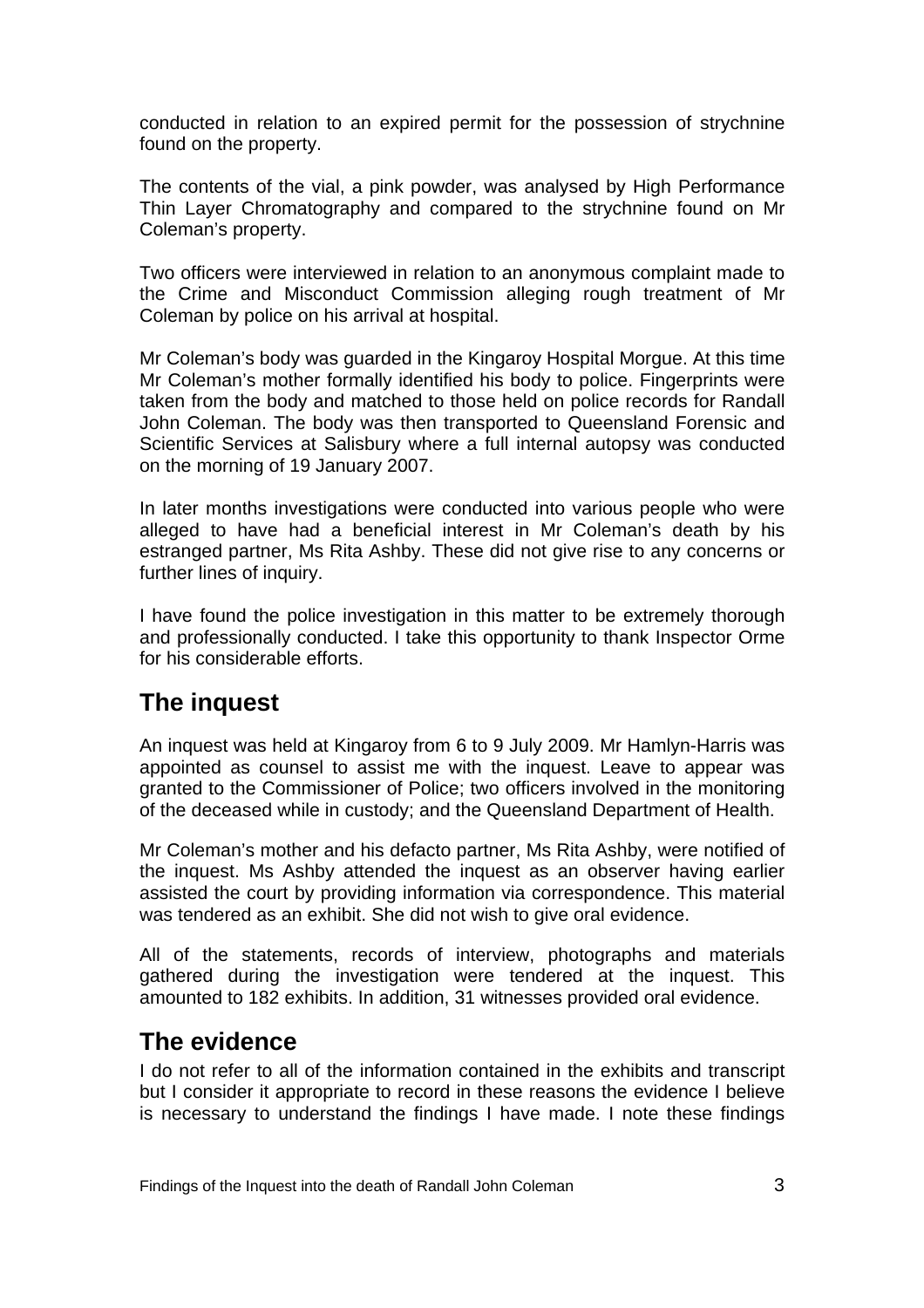conducted in relation to an expired permit for the possession of strychnine found on the property.

The contents of the vial, a pink powder, was analysed by High Performance Thin Layer Chromatography and compared to the strychnine found on Mr Coleman's property.

Two officers were interviewed in relation to an anonymous complaint made to the Crime and Misconduct Commission alleging rough treatment of Mr Coleman by police on his arrival at hospital.

Mr Coleman's body was guarded in the Kingaroy Hospital Morgue. At this time Mr Coleman's mother formally identified his body to police. Fingerprints were taken from the body and matched to those held on police records for Randall John Coleman. The body was then transported to Queensland Forensic and Scientific Services at Salisbury where a full internal autopsy was conducted on the morning of 19 January 2007.

In later months investigations were conducted into various people who were alleged to have had a beneficial interest in Mr Coleman's death by his estranged partner, Ms Rita Ashby. These did not give rise to any concerns or further lines of inquiry.

I have found the police investigation in this matter to be extremely thorough and professionally conducted. I take this opportunity to thank Inspector Orme for his considerable efforts.

## **The inquest**

An inquest was held at Kingaroy from 6 to 9 July 2009. Mr Hamlyn-Harris was appointed as counsel to assist me with the inquest. Leave to appear was granted to the Commissioner of Police; two officers involved in the monitoring of the deceased while in custody; and the Queensland Department of Health.

Mr Coleman's mother and his defacto partner, Ms Rita Ashby, were notified of the inquest. Ms Ashby attended the inquest as an observer having earlier assisted the court by providing information via correspondence. This material was tendered as an exhibit. She did not wish to give oral evidence.

All of the statements, records of interview, photographs and materials gathered during the investigation were tendered at the inquest. This amounted to 182 exhibits. In addition, 31 witnesses provided oral evidence.

### **The evidence**

I do not refer to all of the information contained in the exhibits and transcript but I consider it appropriate to record in these reasons the evidence I believe is necessary to understand the findings I have made. I note these findings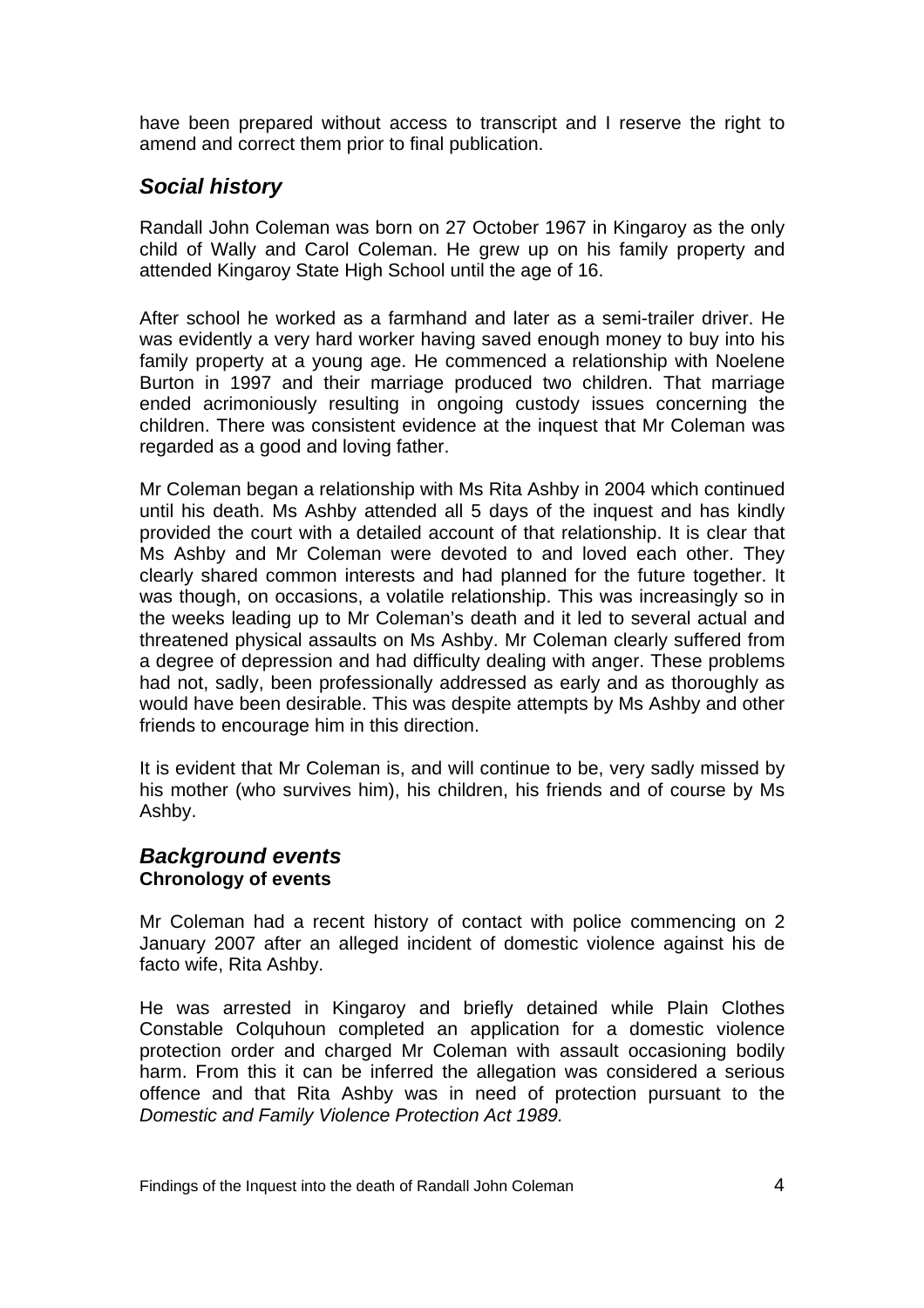have been prepared without access to transcript and I reserve the right to amend and correct them prior to final publication.

### *Social history*

Randall John Coleman was born on 27 October 1967 in Kingaroy as the only child of Wally and Carol Coleman. He grew up on his family property and attended Kingaroy State High School until the age of 16.

After school he worked as a farmhand and later as a semi-trailer driver. He was evidently a very hard worker having saved enough money to buy into his family property at a young age. He commenced a relationship with Noelene Burton in 1997 and their marriage produced two children. That marriage ended acrimoniously resulting in ongoing custody issues concerning the children. There was consistent evidence at the inquest that Mr Coleman was regarded as a good and loving father.

Mr Coleman began a relationship with Ms Rita Ashby in 2004 which continued until his death. Ms Ashby attended all 5 days of the inquest and has kindly provided the court with a detailed account of that relationship. It is clear that Ms Ashby and Mr Coleman were devoted to and loved each other. They clearly shared common interests and had planned for the future together. It was though, on occasions, a volatile relationship. This was increasingly so in the weeks leading up to Mr Coleman's death and it led to several actual and threatened physical assaults on Ms Ashby. Mr Coleman clearly suffered from a degree of depression and had difficulty dealing with anger. These problems had not, sadly, been professionally addressed as early and as thoroughly as would have been desirable. This was despite attempts by Ms Ashby and other friends to encourage him in this direction.

It is evident that Mr Coleman is, and will continue to be, very sadly missed by his mother (who survives him), his children, his friends and of course by Ms Ashby.

#### *Background events*  **Chronology of events**

Mr Coleman had a recent history of contact with police commencing on 2 January 2007 after an alleged incident of domestic violence against his de facto wife, Rita Ashby.

He was arrested in Kingaroy and briefly detained while Plain Clothes Constable Colquhoun completed an application for a domestic violence protection order and charged Mr Coleman with assault occasioning bodily harm. From this it can be inferred the allegation was considered a serious offence and that Rita Ashby was in need of protection pursuant to the *Domestic and Family Violence Protection Act 1989.*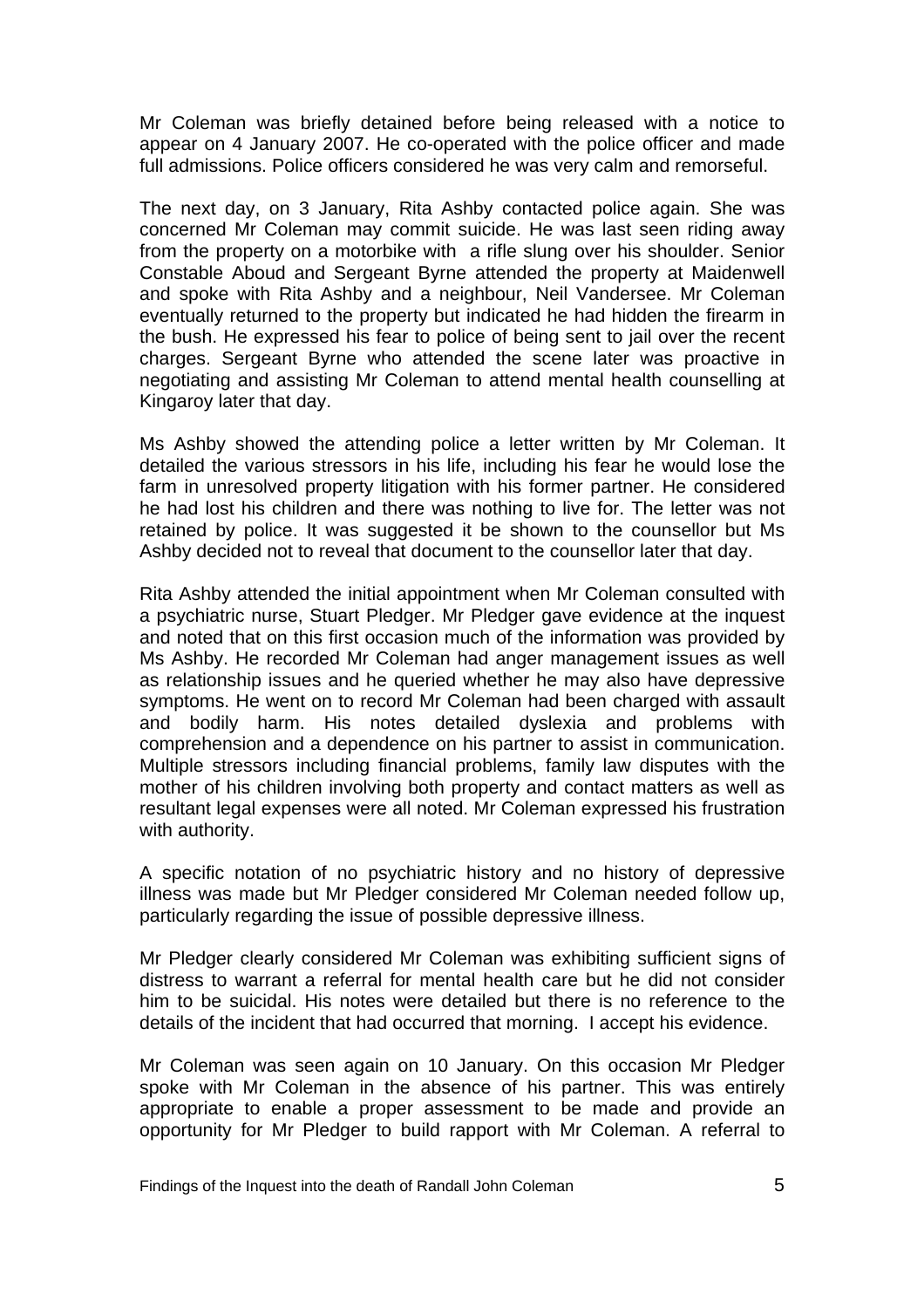Mr Coleman was briefly detained before being released with a notice to appear on 4 January 2007. He co-operated with the police officer and made full admissions. Police officers considered he was very calm and remorseful.

The next day, on 3 January, Rita Ashby contacted police again. She was concerned Mr Coleman may commit suicide. He was last seen riding away from the property on a motorbike with a rifle slung over his shoulder. Senior Constable Aboud and Sergeant Byrne attended the property at Maidenwell and spoke with Rita Ashby and a neighbour, Neil Vandersee. Mr Coleman eventually returned to the property but indicated he had hidden the firearm in the bush. He expressed his fear to police of being sent to jail over the recent charges. Sergeant Byrne who attended the scene later was proactive in negotiating and assisting Mr Coleman to attend mental health counselling at Kingaroy later that day.

Ms Ashby showed the attending police a letter written by Mr Coleman. It detailed the various stressors in his life, including his fear he would lose the farm in unresolved property litigation with his former partner. He considered he had lost his children and there was nothing to live for. The letter was not retained by police. It was suggested it be shown to the counsellor but Ms Ashby decided not to reveal that document to the counsellor later that day.

Rita Ashby attended the initial appointment when Mr Coleman consulted with a psychiatric nurse, Stuart Pledger. Mr Pledger gave evidence at the inquest and noted that on this first occasion much of the information was provided by Ms Ashby. He recorded Mr Coleman had anger management issues as well as relationship issues and he queried whether he may also have depressive symptoms. He went on to record Mr Coleman had been charged with assault and bodily harm. His notes detailed dyslexia and problems with comprehension and a dependence on his partner to assist in communication. Multiple stressors including financial problems, family law disputes with the mother of his children involving both property and contact matters as well as resultant legal expenses were all noted. Mr Coleman expressed his frustration with authority.

A specific notation of no psychiatric history and no history of depressive illness was made but Mr Pledger considered Mr Coleman needed follow up, particularly regarding the issue of possible depressive illness.

Mr Pledger clearly considered Mr Coleman was exhibiting sufficient signs of distress to warrant a referral for mental health care but he did not consider him to be suicidal. His notes were detailed but there is no reference to the details of the incident that had occurred that morning. I accept his evidence.

Mr Coleman was seen again on 10 January. On this occasion Mr Pledger spoke with Mr Coleman in the absence of his partner. This was entirely appropriate to enable a proper assessment to be made and provide an opportunity for Mr Pledger to build rapport with Mr Coleman. A referral to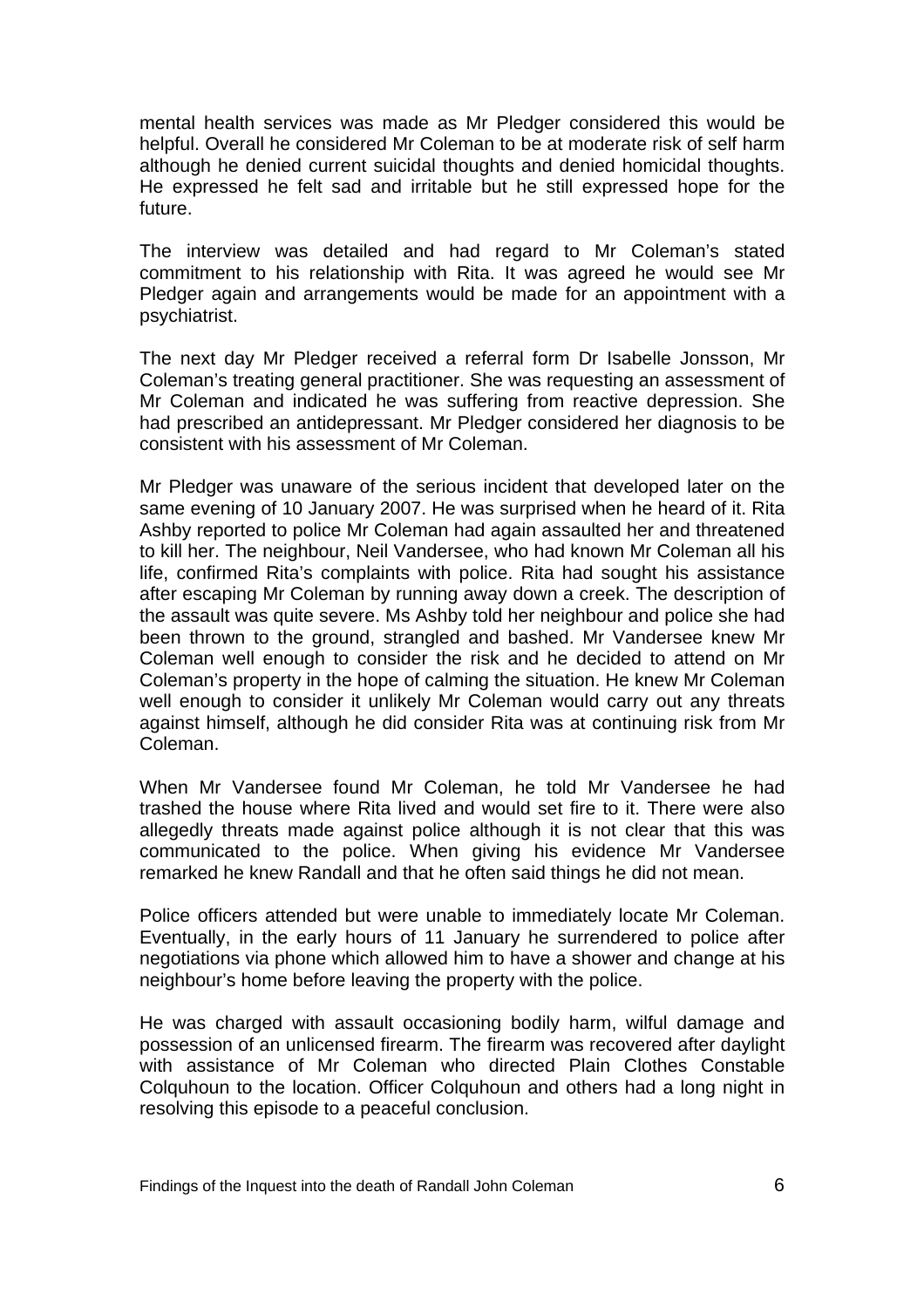mental health services was made as Mr Pledger considered this would be helpful. Overall he considered Mr Coleman to be at moderate risk of self harm although he denied current suicidal thoughts and denied homicidal thoughts. He expressed he felt sad and irritable but he still expressed hope for the future.

The interview was detailed and had regard to Mr Coleman's stated commitment to his relationship with Rita. It was agreed he would see Mr Pledger again and arrangements would be made for an appointment with a psychiatrist.

The next day Mr Pledger received a referral form Dr Isabelle Jonsson, Mr Coleman's treating general practitioner. She was requesting an assessment of Mr Coleman and indicated he was suffering from reactive depression. She had prescribed an antidepressant. Mr Pledger considered her diagnosis to be consistent with his assessment of Mr Coleman.

Mr Pledger was unaware of the serious incident that developed later on the same evening of 10 January 2007. He was surprised when he heard of it. Rita Ashby reported to police Mr Coleman had again assaulted her and threatened to kill her. The neighbour, Neil Vandersee, who had known Mr Coleman all his life, confirmed Rita's complaints with police. Rita had sought his assistance after escaping Mr Coleman by running away down a creek. The description of the assault was quite severe. Ms Ashby told her neighbour and police she had been thrown to the ground, strangled and bashed. Mr Vandersee knew Mr Coleman well enough to consider the risk and he decided to attend on Mr Coleman's property in the hope of calming the situation. He knew Mr Coleman well enough to consider it unlikely Mr Coleman would carry out any threats against himself, although he did consider Rita was at continuing risk from Mr Coleman.

When Mr Vandersee found Mr Coleman, he told Mr Vandersee he had trashed the house where Rita lived and would set fire to it. There were also allegedly threats made against police although it is not clear that this was communicated to the police. When giving his evidence Mr Vandersee remarked he knew Randall and that he often said things he did not mean.

Police officers attended but were unable to immediately locate Mr Coleman. Eventually, in the early hours of 11 January he surrendered to police after negotiations via phone which allowed him to have a shower and change at his neighbour's home before leaving the property with the police.

He was charged with assault occasioning bodily harm, wilful damage and possession of an unlicensed firearm. The firearm was recovered after daylight with assistance of Mr Coleman who directed Plain Clothes Constable Colquhoun to the location. Officer Colquhoun and others had a long night in resolving this episode to a peaceful conclusion.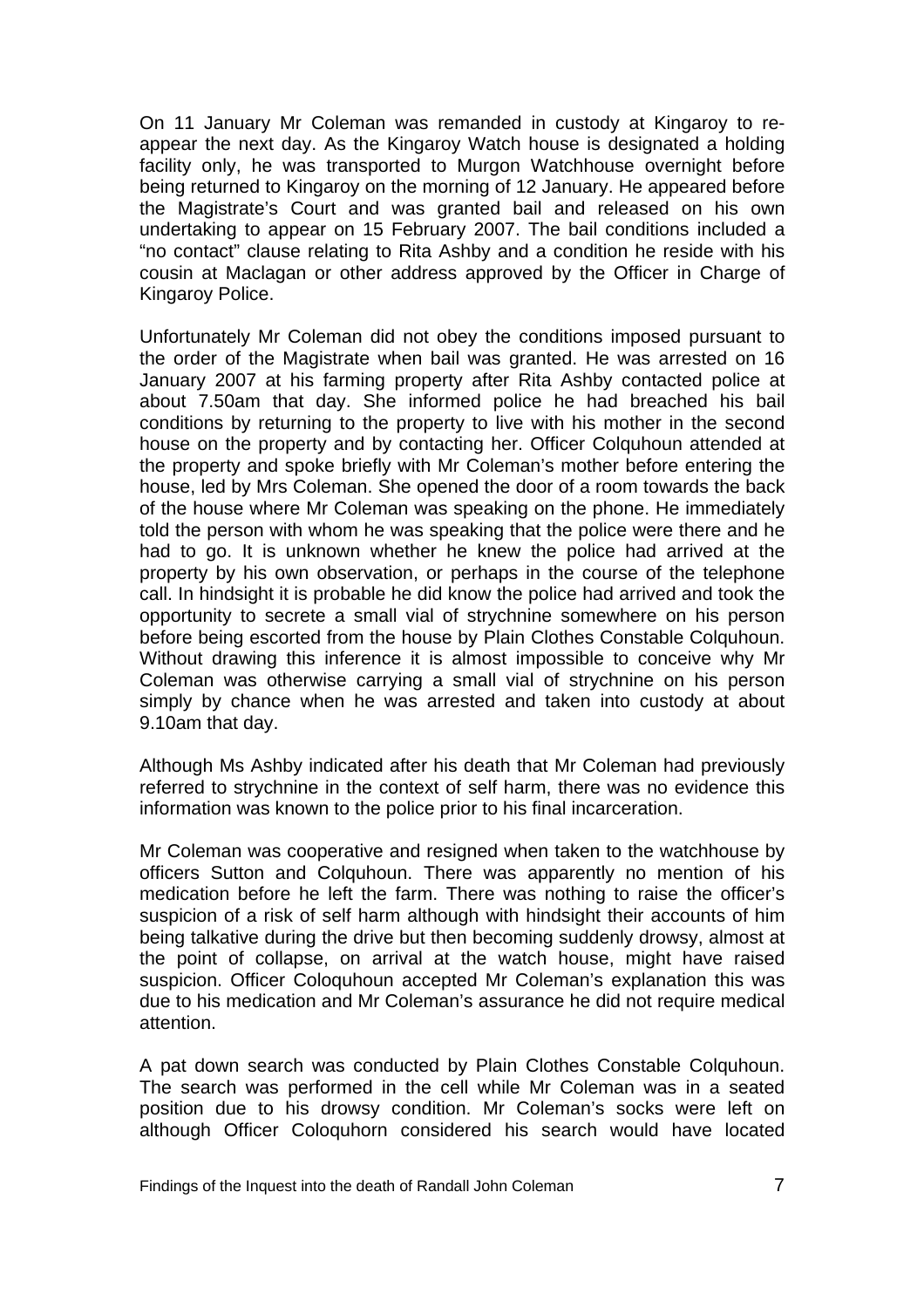On 11 January Mr Coleman was remanded in custody at Kingaroy to reappear the next day. As the Kingaroy Watch house is designated a holding facility only, he was transported to Murgon Watchhouse overnight before being returned to Kingaroy on the morning of 12 January. He appeared before the Magistrate's Court and was granted bail and released on his own undertaking to appear on 15 February 2007. The bail conditions included a "no contact" clause relating to Rita Ashby and a condition he reside with his cousin at Maclagan or other address approved by the Officer in Charge of Kingaroy Police.

Unfortunately Mr Coleman did not obey the conditions imposed pursuant to the order of the Magistrate when bail was granted. He was arrested on 16 January 2007 at his farming property after Rita Ashby contacted police at about 7.50am that day. She informed police he had breached his bail conditions by returning to the property to live with his mother in the second house on the property and by contacting her. Officer Colquhoun attended at the property and spoke briefly with Mr Coleman's mother before entering the house, led by Mrs Coleman. She opened the door of a room towards the back of the house where Mr Coleman was speaking on the phone. He immediately told the person with whom he was speaking that the police were there and he had to go. It is unknown whether he knew the police had arrived at the property by his own observation, or perhaps in the course of the telephone call. In hindsight it is probable he did know the police had arrived and took the opportunity to secrete a small vial of strychnine somewhere on his person before being escorted from the house by Plain Clothes Constable Colquhoun. Without drawing this inference it is almost impossible to conceive why Mr Coleman was otherwise carrying a small vial of strychnine on his person simply by chance when he was arrested and taken into custody at about 9.10am that day.

Although Ms Ashby indicated after his death that Mr Coleman had previously referred to strychnine in the context of self harm, there was no evidence this information was known to the police prior to his final incarceration.

Mr Coleman was cooperative and resigned when taken to the watchhouse by officers Sutton and Colquhoun. There was apparently no mention of his medication before he left the farm. There was nothing to raise the officer's suspicion of a risk of self harm although with hindsight their accounts of him being talkative during the drive but then becoming suddenly drowsy, almost at the point of collapse, on arrival at the watch house, might have raised suspicion. Officer Coloquhoun accepted Mr Coleman's explanation this was due to his medication and Mr Coleman's assurance he did not require medical attention.

A pat down search was conducted by Plain Clothes Constable Colquhoun. The search was performed in the cell while Mr Coleman was in a seated position due to his drowsy condition. Mr Coleman's socks were left on although Officer Coloquhorn considered his search would have located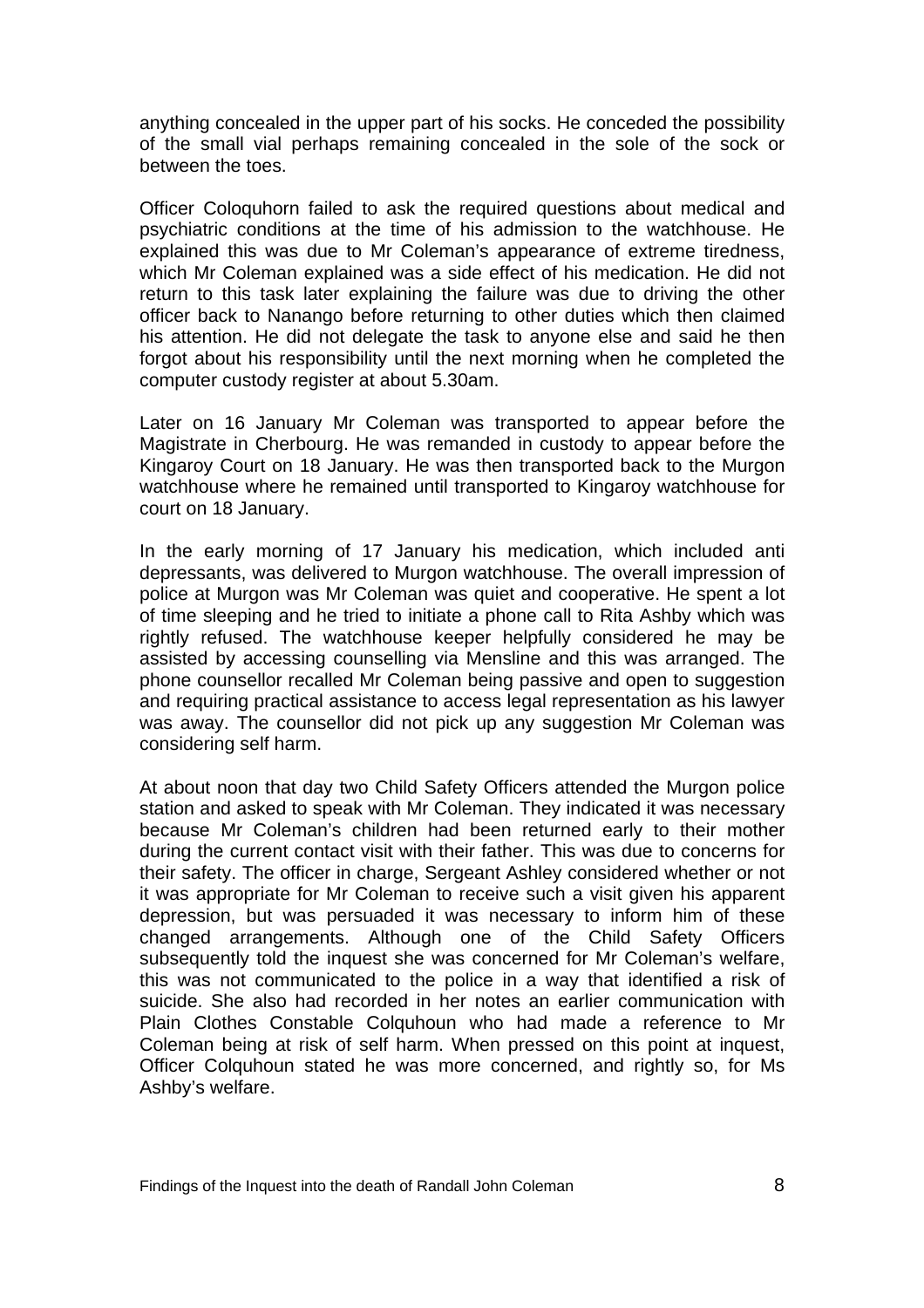anything concealed in the upper part of his socks. He conceded the possibility of the small vial perhaps remaining concealed in the sole of the sock or between the toes.

Officer Coloquhorn failed to ask the required questions about medical and psychiatric conditions at the time of his admission to the watchhouse. He explained this was due to Mr Coleman's appearance of extreme tiredness, which Mr Coleman explained was a side effect of his medication. He did not return to this task later explaining the failure was due to driving the other officer back to Nanango before returning to other duties which then claimed his attention. He did not delegate the task to anyone else and said he then forgot about his responsibility until the next morning when he completed the computer custody register at about 5.30am.

Later on 16 January Mr Coleman was transported to appear before the Magistrate in Cherbourg. He was remanded in custody to appear before the Kingaroy Court on 18 January. He was then transported back to the Murgon watchhouse where he remained until transported to Kingaroy watchhouse for court on 18 January.

In the early morning of 17 January his medication, which included anti depressants, was delivered to Murgon watchhouse. The overall impression of police at Murgon was Mr Coleman was quiet and cooperative. He spent a lot of time sleeping and he tried to initiate a phone call to Rita Ashby which was rightly refused. The watchhouse keeper helpfully considered he may be assisted by accessing counselling via Mensline and this was arranged. The phone counsellor recalled Mr Coleman being passive and open to suggestion and requiring practical assistance to access legal representation as his lawyer was away. The counsellor did not pick up any suggestion Mr Coleman was considering self harm.

At about noon that day two Child Safety Officers attended the Murgon police station and asked to speak with Mr Coleman. They indicated it was necessary because Mr Coleman's children had been returned early to their mother during the current contact visit with their father. This was due to concerns for their safety. The officer in charge, Sergeant Ashley considered whether or not it was appropriate for Mr Coleman to receive such a visit given his apparent depression, but was persuaded it was necessary to inform him of these changed arrangements. Although one of the Child Safety Officers subsequently told the inquest she was concerned for Mr Coleman's welfare, this was not communicated to the police in a way that identified a risk of suicide. She also had recorded in her notes an earlier communication with Plain Clothes Constable Colquhoun who had made a reference to Mr Coleman being at risk of self harm. When pressed on this point at inquest, Officer Colquhoun stated he was more concerned, and rightly so, for Ms Ashby's welfare.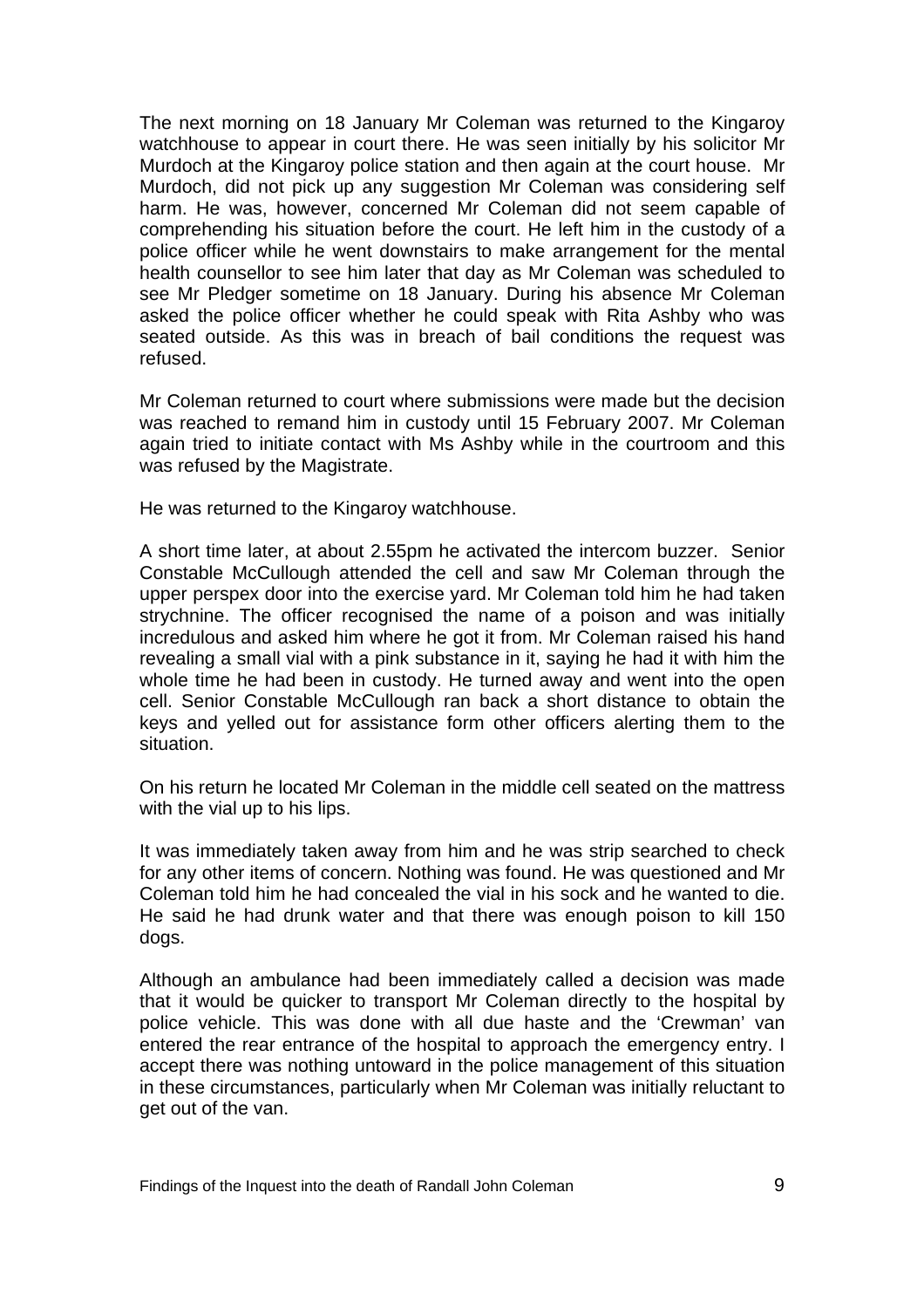The next morning on 18 January Mr Coleman was returned to the Kingaroy watchhouse to appear in court there. He was seen initially by his solicitor Mr Murdoch at the Kingaroy police station and then again at the court house. Mr Murdoch, did not pick up any suggestion Mr Coleman was considering self harm. He was, however, concerned Mr Coleman did not seem capable of comprehending his situation before the court. He left him in the custody of a police officer while he went downstairs to make arrangement for the mental health counsellor to see him later that day as Mr Coleman was scheduled to see Mr Pledger sometime on 18 January. During his absence Mr Coleman asked the police officer whether he could speak with Rita Ashby who was seated outside. As this was in breach of bail conditions the request was refused.

Mr Coleman returned to court where submissions were made but the decision was reached to remand him in custody until 15 February 2007. Mr Coleman again tried to initiate contact with Ms Ashby while in the courtroom and this was refused by the Magistrate.

He was returned to the Kingaroy watchhouse.

A short time later, at about 2.55pm he activated the intercom buzzer. Senior Constable McCullough attended the cell and saw Mr Coleman through the upper perspex door into the exercise yard. Mr Coleman told him he had taken strychnine. The officer recognised the name of a poison and was initially incredulous and asked him where he got it from. Mr Coleman raised his hand revealing a small vial with a pink substance in it, saying he had it with him the whole time he had been in custody. He turned away and went into the open cell. Senior Constable McCullough ran back a short distance to obtain the keys and yelled out for assistance form other officers alerting them to the situation.

On his return he located Mr Coleman in the middle cell seated on the mattress with the vial up to his lips.

It was immediately taken away from him and he was strip searched to check for any other items of concern. Nothing was found. He was questioned and Mr Coleman told him he had concealed the vial in his sock and he wanted to die. He said he had drunk water and that there was enough poison to kill 150 dogs.

Although an ambulance had been immediately called a decision was made that it would be quicker to transport Mr Coleman directly to the hospital by police vehicle. This was done with all due haste and the 'Crewman' van entered the rear entrance of the hospital to approach the emergency entry. I accept there was nothing untoward in the police management of this situation in these circumstances, particularly when Mr Coleman was initially reluctant to get out of the van.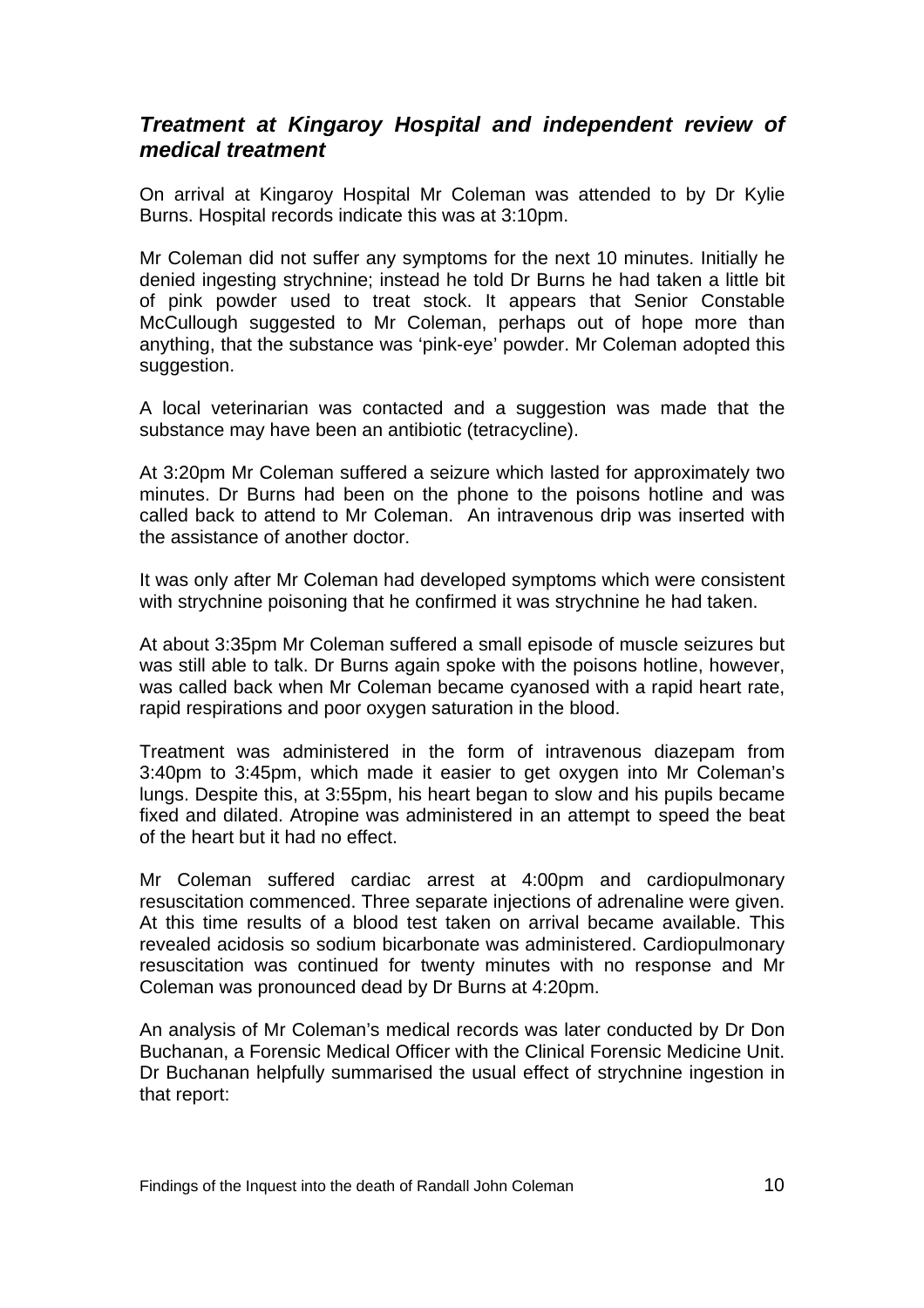#### *Treatment at Kingaroy Hospital and independent review of medical treatment*

On arrival at Kingaroy Hospital Mr Coleman was attended to by Dr Kylie Burns. Hospital records indicate this was at 3:10pm.

Mr Coleman did not suffer any symptoms for the next 10 minutes. Initially he denied ingesting strychnine; instead he told Dr Burns he had taken a little bit of pink powder used to treat stock. It appears that Senior Constable McCullough suggested to Mr Coleman, perhaps out of hope more than anything, that the substance was 'pink-eye' powder. Mr Coleman adopted this suggestion.

A local veterinarian was contacted and a suggestion was made that the substance may have been an antibiotic (tetracycline).

At 3:20pm Mr Coleman suffered a seizure which lasted for approximately two minutes. Dr Burns had been on the phone to the poisons hotline and was called back to attend to Mr Coleman. An intravenous drip was inserted with the assistance of another doctor.

It was only after Mr Coleman had developed symptoms which were consistent with strychnine poisoning that he confirmed it was strychnine he had taken.

At about 3:35pm Mr Coleman suffered a small episode of muscle seizures but was still able to talk. Dr Burns again spoke with the poisons hotline, however, was called back when Mr Coleman became cyanosed with a rapid heart rate, rapid respirations and poor oxygen saturation in the blood.

Treatment was administered in the form of intravenous diazepam from 3:40pm to 3:45pm, which made it easier to get oxygen into Mr Coleman's lungs. Despite this, at 3:55pm, his heart began to slow and his pupils became fixed and dilated. Atropine was administered in an attempt to speed the beat of the heart but it had no effect.

Mr Coleman suffered cardiac arrest at 4:00pm and cardiopulmonary resuscitation commenced. Three separate injections of adrenaline were given. At this time results of a blood test taken on arrival became available. This revealed acidosis so sodium bicarbonate was administered. Cardiopulmonary resuscitation was continued for twenty minutes with no response and Mr Coleman was pronounced dead by Dr Burns at 4:20pm.

An analysis of Mr Coleman's medical records was later conducted by Dr Don Buchanan, a Forensic Medical Officer with the Clinical Forensic Medicine Unit. Dr Buchanan helpfully summarised the usual effect of strychnine ingestion in that report: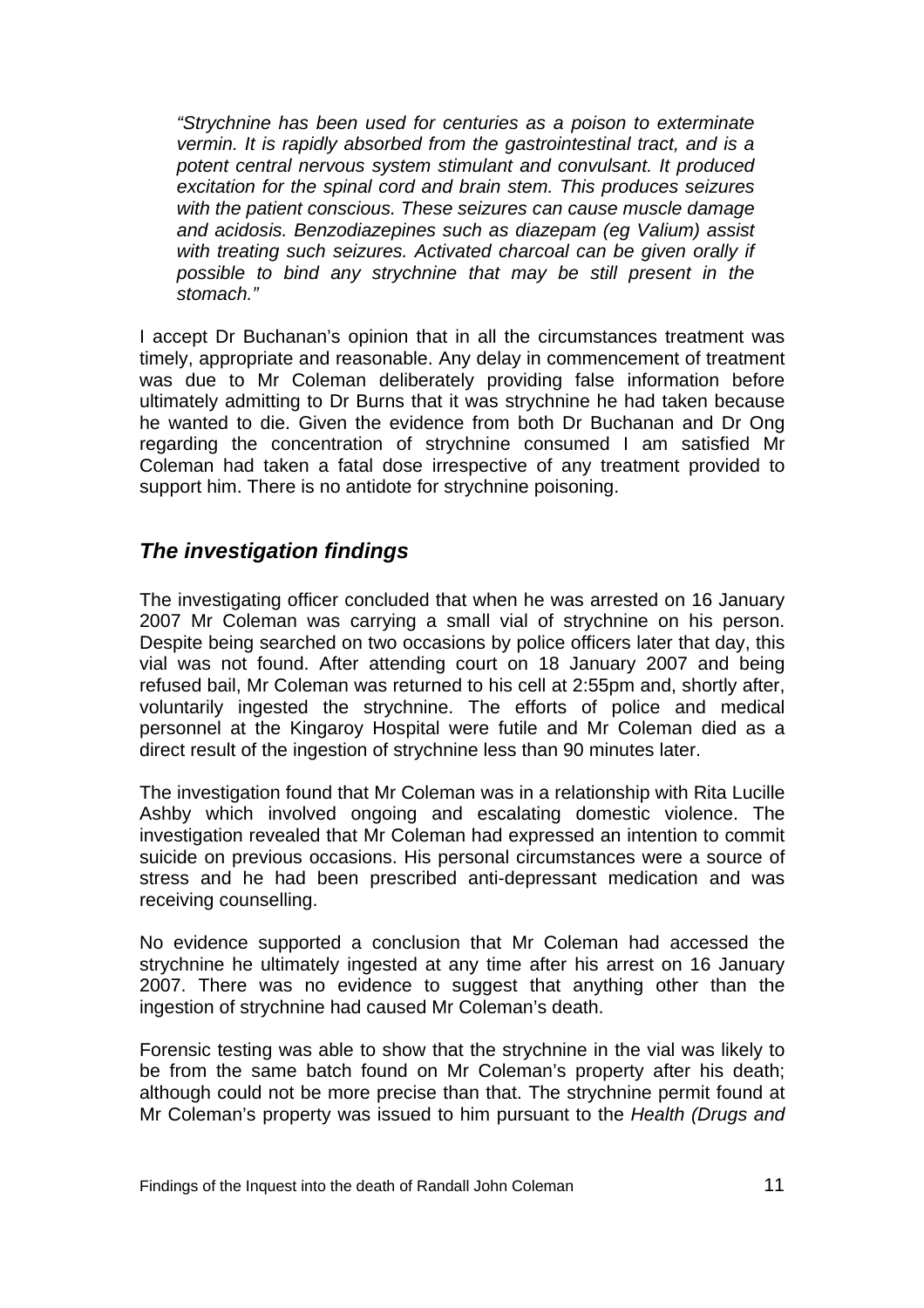*"Strychnine has been used for centuries as a poison to exterminate vermin. It is rapidly absorbed from the gastrointestinal tract, and is a potent central nervous system stimulant and convulsant. It produced excitation for the spinal cord and brain stem. This produces seizures with the patient conscious. These seizures can cause muscle damage and acidosis. Benzodiazepines such as diazepam (eg Valium) assist with treating such seizures. Activated charcoal can be given orally if possible to bind any strychnine that may be still present in the stomach."* 

I accept Dr Buchanan's opinion that in all the circumstances treatment was timely, appropriate and reasonable. Any delay in commencement of treatment was due to Mr Coleman deliberately providing false information before ultimately admitting to Dr Burns that it was strychnine he had taken because he wanted to die. Given the evidence from both Dr Buchanan and Dr Ong regarding the concentration of strychnine consumed I am satisfied Mr Coleman had taken a fatal dose irrespective of any treatment provided to support him. There is no antidote for strychnine poisoning.

#### *The investigation findings*

The investigating officer concluded that when he was arrested on 16 January 2007 Mr Coleman was carrying a small vial of strychnine on his person. Despite being searched on two occasions by police officers later that day, this vial was not found. After attending court on 18 January 2007 and being refused bail, Mr Coleman was returned to his cell at 2:55pm and, shortly after, voluntarily ingested the strychnine. The efforts of police and medical personnel at the Kingaroy Hospital were futile and Mr Coleman died as a direct result of the ingestion of strychnine less than 90 minutes later.

The investigation found that Mr Coleman was in a relationship with Rita Lucille Ashby which involved ongoing and escalating domestic violence. The investigation revealed that Mr Coleman had expressed an intention to commit suicide on previous occasions. His personal circumstances were a source of stress and he had been prescribed anti-depressant medication and was receiving counselling.

No evidence supported a conclusion that Mr Coleman had accessed the strychnine he ultimately ingested at any time after his arrest on 16 January 2007. There was no evidence to suggest that anything other than the ingestion of strychnine had caused Mr Coleman's death.

Forensic testing was able to show that the strychnine in the vial was likely to be from the same batch found on Mr Coleman's property after his death; although could not be more precise than that. The strychnine permit found at Mr Coleman's property was issued to him pursuant to the *Health (Drugs and*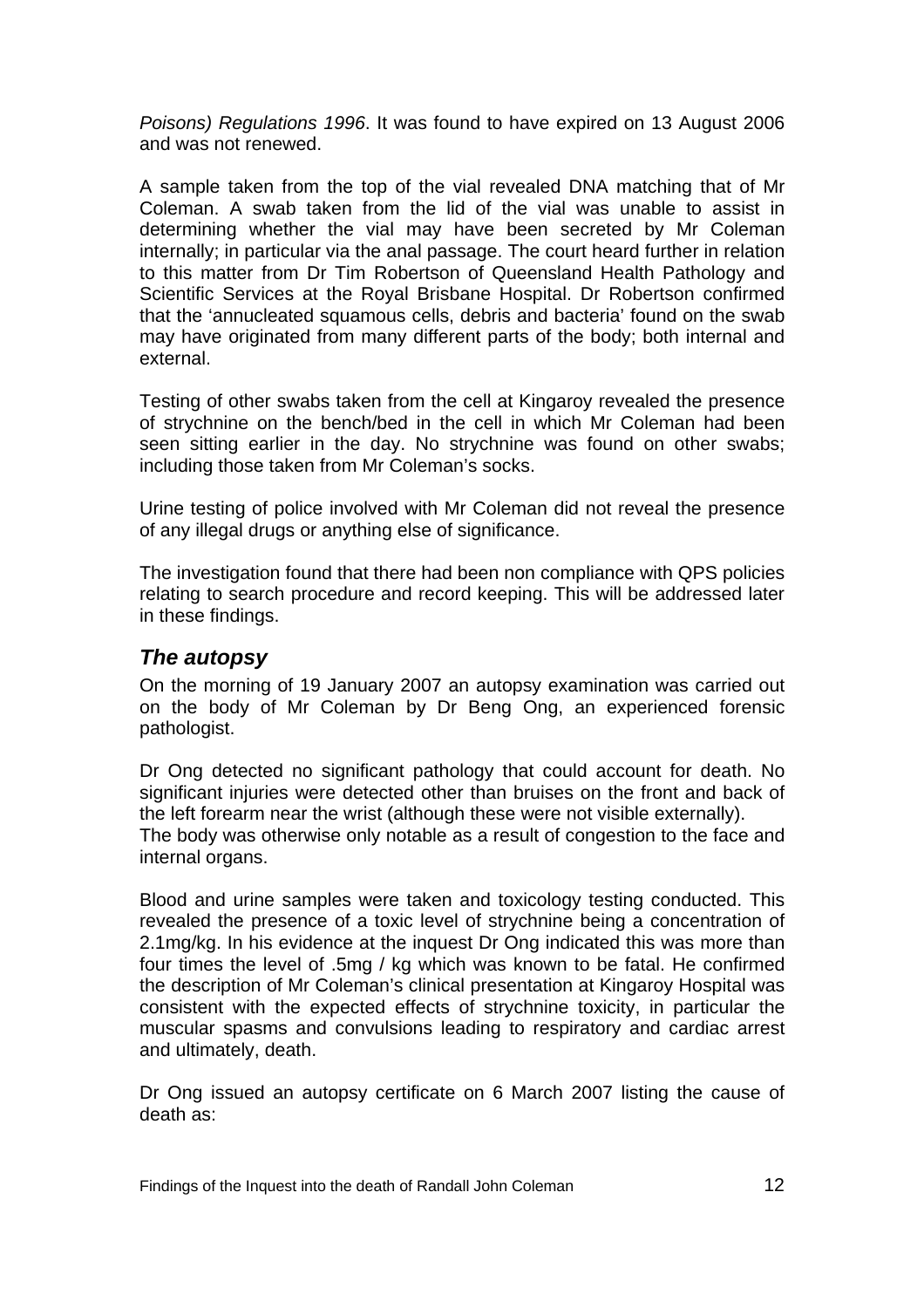*Poisons) Regulations 1996*. It was found to have expired on 13 August 2006 and was not renewed.

A sample taken from the top of the vial revealed DNA matching that of Mr Coleman. A swab taken from the lid of the vial was unable to assist in determining whether the vial may have been secreted by Mr Coleman internally; in particular via the anal passage. The court heard further in relation to this matter from Dr Tim Robertson of Queensland Health Pathology and Scientific Services at the Royal Brisbane Hospital. Dr Robertson confirmed that the 'annucleated squamous cells, debris and bacteria' found on the swab may have originated from many different parts of the body; both internal and external.

Testing of other swabs taken from the cell at Kingaroy revealed the presence of strychnine on the bench/bed in the cell in which Mr Coleman had been seen sitting earlier in the day. No strychnine was found on other swabs; including those taken from Mr Coleman's socks.

Urine testing of police involved with Mr Coleman did not reveal the presence of any illegal drugs or anything else of significance.

The investigation found that there had been non compliance with QPS policies relating to search procedure and record keeping. This will be addressed later in these findings.

#### *The autopsy*

On the morning of 19 January 2007 an autopsy examination was carried out on the body of Mr Coleman by Dr Beng Ong, an experienced forensic pathologist.

Dr Ong detected no significant pathology that could account for death. No significant injuries were detected other than bruises on the front and back of the left forearm near the wrist (although these were not visible externally). The body was otherwise only notable as a result of congestion to the face and internal organs.

Blood and urine samples were taken and toxicology testing conducted. This revealed the presence of a toxic level of strychnine being a concentration of 2.1mg/kg. In his evidence at the inquest Dr Ong indicated this was more than four times the level of .5mg / kg which was known to be fatal. He confirmed the description of Mr Coleman's clinical presentation at Kingaroy Hospital was consistent with the expected effects of strychnine toxicity, in particular the muscular spasms and convulsions leading to respiratory and cardiac arrest and ultimately, death.

Dr Ong issued an autopsy certificate on 6 March 2007 listing the cause of death as: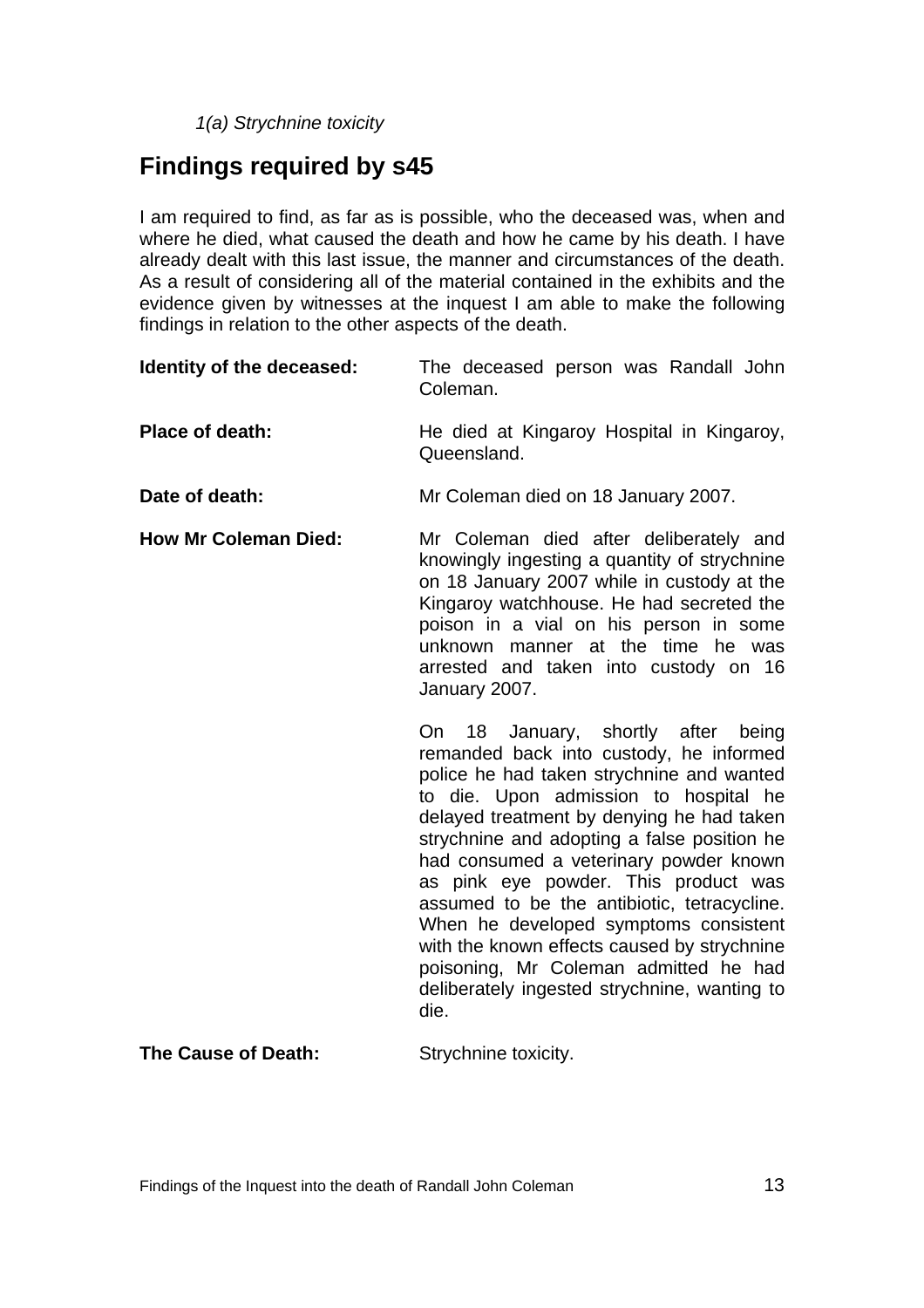*1(a) Strychnine toxicity*

# **Findings required by s45**

I am required to find, as far as is possible, who the deceased was, when and where he died, what caused the death and how he came by his death. I have already dealt with this last issue, the manner and circumstances of the death. As a result of considering all of the material contained in the exhibits and the evidence given by witnesses at the inquest I am able to make the following findings in relation to the other aspects of the death.

| Identity of the deceased:   | The deceased person was Randall John<br>Coleman.                                                                                                                                                                                                                                                                                                                                                                                                                                                                                                                                          |
|-----------------------------|-------------------------------------------------------------------------------------------------------------------------------------------------------------------------------------------------------------------------------------------------------------------------------------------------------------------------------------------------------------------------------------------------------------------------------------------------------------------------------------------------------------------------------------------------------------------------------------------|
| <b>Place of death:</b>      | He died at Kingaroy Hospital in Kingaroy,<br>Queensland.                                                                                                                                                                                                                                                                                                                                                                                                                                                                                                                                  |
| Date of death:              | Mr Coleman died on 18 January 2007.                                                                                                                                                                                                                                                                                                                                                                                                                                                                                                                                                       |
| <b>How Mr Coleman Died:</b> | Mr Coleman died after deliberately and<br>knowingly ingesting a quantity of strychnine<br>on 18 January 2007 while in custody at the<br>Kingaroy watchhouse. He had secreted the<br>poison in a vial on his person in some<br>unknown manner at the time he was<br>arrested and taken into custody on 16<br>January 2007.                                                                                                                                                                                                                                                                 |
|                             | On 18 January, shortly after being<br>remanded back into custody, he informed<br>police he had taken strychnine and wanted<br>to die. Upon admission to hospital he<br>delayed treatment by denying he had taken<br>strychnine and adopting a false position he<br>had consumed a veterinary powder known<br>as pink eye powder. This product was<br>assumed to be the antibiotic, tetracycline.<br>When he developed symptoms consistent<br>with the known effects caused by strychnine<br>poisoning, Mr Coleman admitted he had<br>deliberately ingested strychnine, wanting to<br>die. |

**The Cause of Death:** Strychnine toxicity.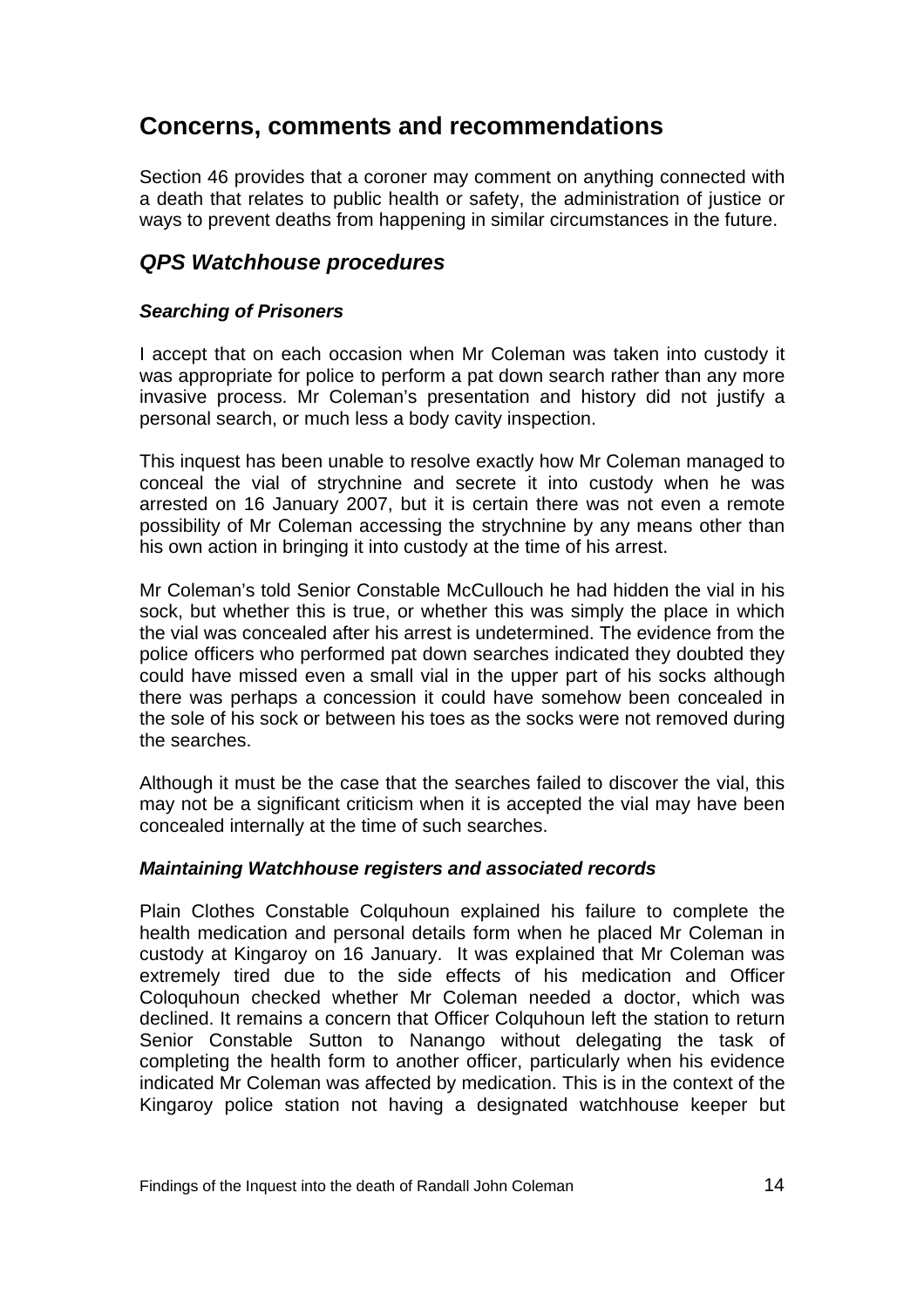## **Concerns, comments and recommendations**

Section 46 provides that a coroner may comment on anything connected with a death that relates to public health or safety, the administration of justice or ways to prevent deaths from happening in similar circumstances in the future.

#### *QPS Watchhouse procedures*

#### *Searching of Prisoners*

I accept that on each occasion when Mr Coleman was taken into custody it was appropriate for police to perform a pat down search rather than any more invasive process. Mr Coleman's presentation and history did not justify a personal search, or much less a body cavity inspection.

This inquest has been unable to resolve exactly how Mr Coleman managed to conceal the vial of strychnine and secrete it into custody when he was arrested on 16 January 2007, but it is certain there was not even a remote possibility of Mr Coleman accessing the strychnine by any means other than his own action in bringing it into custody at the time of his arrest.

Mr Coleman's told Senior Constable McCullouch he had hidden the vial in his sock, but whether this is true, or whether this was simply the place in which the vial was concealed after his arrest is undetermined. The evidence from the police officers who performed pat down searches indicated they doubted they could have missed even a small vial in the upper part of his socks although there was perhaps a concession it could have somehow been concealed in the sole of his sock or between his toes as the socks were not removed during the searches.

Although it must be the case that the searches failed to discover the vial, this may not be a significant criticism when it is accepted the vial may have been concealed internally at the time of such searches.

#### *Maintaining Watchhouse registers and associated records*

Plain Clothes Constable Colquhoun explained his failure to complete the health medication and personal details form when he placed Mr Coleman in custody at Kingaroy on 16 January. It was explained that Mr Coleman was extremely tired due to the side effects of his medication and Officer Coloquhoun checked whether Mr Coleman needed a doctor, which was declined. It remains a concern that Officer Colquhoun left the station to return Senior Constable Sutton to Nanango without delegating the task of completing the health form to another officer, particularly when his evidence indicated Mr Coleman was affected by medication. This is in the context of the Kingaroy police station not having a designated watchhouse keeper but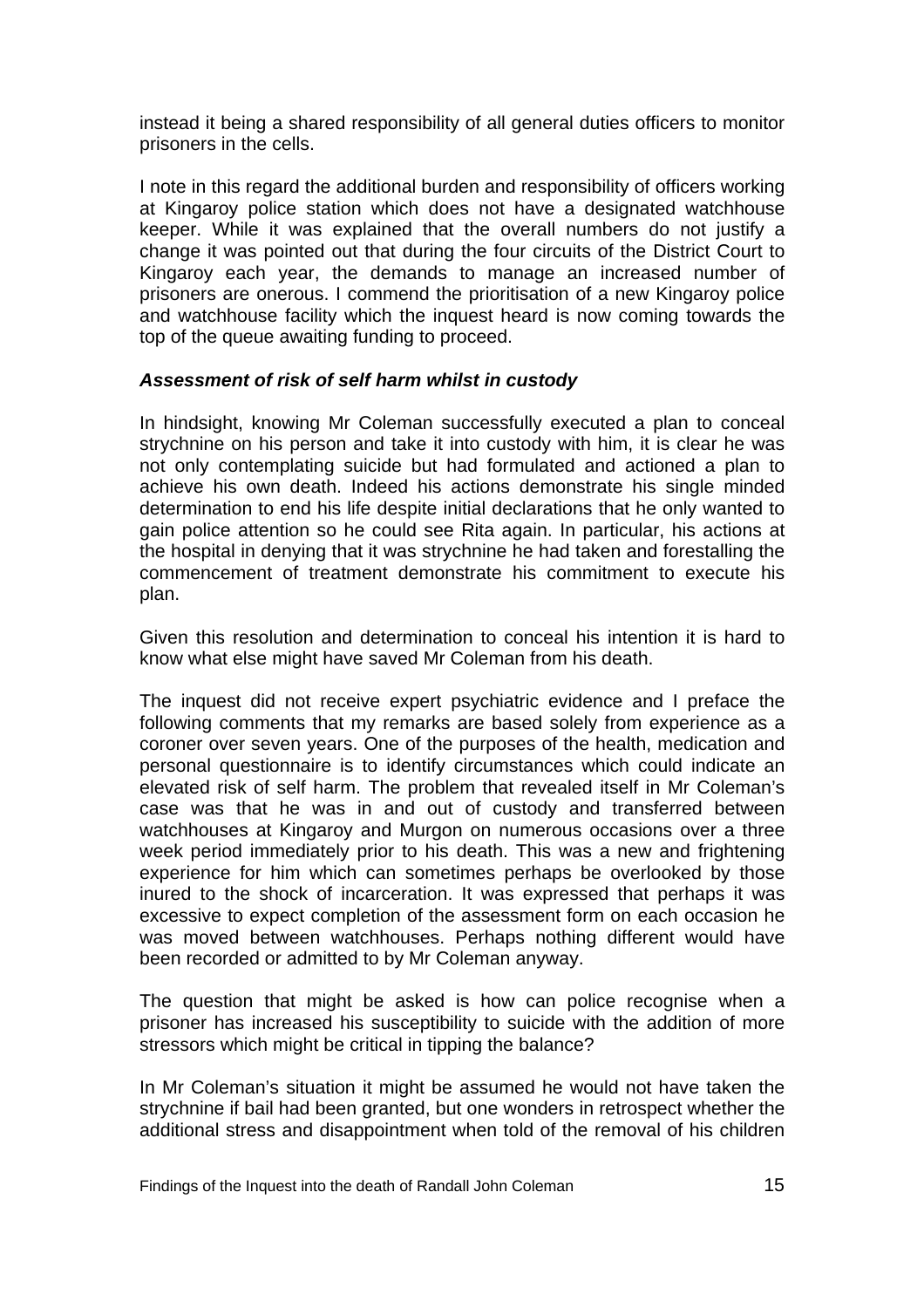instead it being a shared responsibility of all general duties officers to monitor prisoners in the cells.

I note in this regard the additional burden and responsibility of officers working at Kingaroy police station which does not have a designated watchhouse keeper. While it was explained that the overall numbers do not justify a change it was pointed out that during the four circuits of the District Court to Kingaroy each year, the demands to manage an increased number of prisoners are onerous. I commend the prioritisation of a new Kingaroy police and watchhouse facility which the inquest heard is now coming towards the top of the queue awaiting funding to proceed.

#### *Assessment of risk of self harm whilst in custody*

In hindsight, knowing Mr Coleman successfully executed a plan to conceal strychnine on his person and take it into custody with him, it is clear he was not only contemplating suicide but had formulated and actioned a plan to achieve his own death. Indeed his actions demonstrate his single minded determination to end his life despite initial declarations that he only wanted to gain police attention so he could see Rita again. In particular, his actions at the hospital in denying that it was strychnine he had taken and forestalling the commencement of treatment demonstrate his commitment to execute his plan.

Given this resolution and determination to conceal his intention it is hard to know what else might have saved Mr Coleman from his death.

The inquest did not receive expert psychiatric evidence and I preface the following comments that my remarks are based solely from experience as a coroner over seven years. One of the purposes of the health, medication and personal questionnaire is to identify circumstances which could indicate an elevated risk of self harm. The problem that revealed itself in Mr Coleman's case was that he was in and out of custody and transferred between watchhouses at Kingaroy and Murgon on numerous occasions over a three week period immediately prior to his death. This was a new and frightening experience for him which can sometimes perhaps be overlooked by those inured to the shock of incarceration. It was expressed that perhaps it was excessive to expect completion of the assessment form on each occasion he was moved between watchhouses. Perhaps nothing different would have been recorded or admitted to by Mr Coleman anyway.

The question that might be asked is how can police recognise when a prisoner has increased his susceptibility to suicide with the addition of more stressors which might be critical in tipping the balance?

In Mr Coleman's situation it might be assumed he would not have taken the strychnine if bail had been granted, but one wonders in retrospect whether the additional stress and disappointment when told of the removal of his children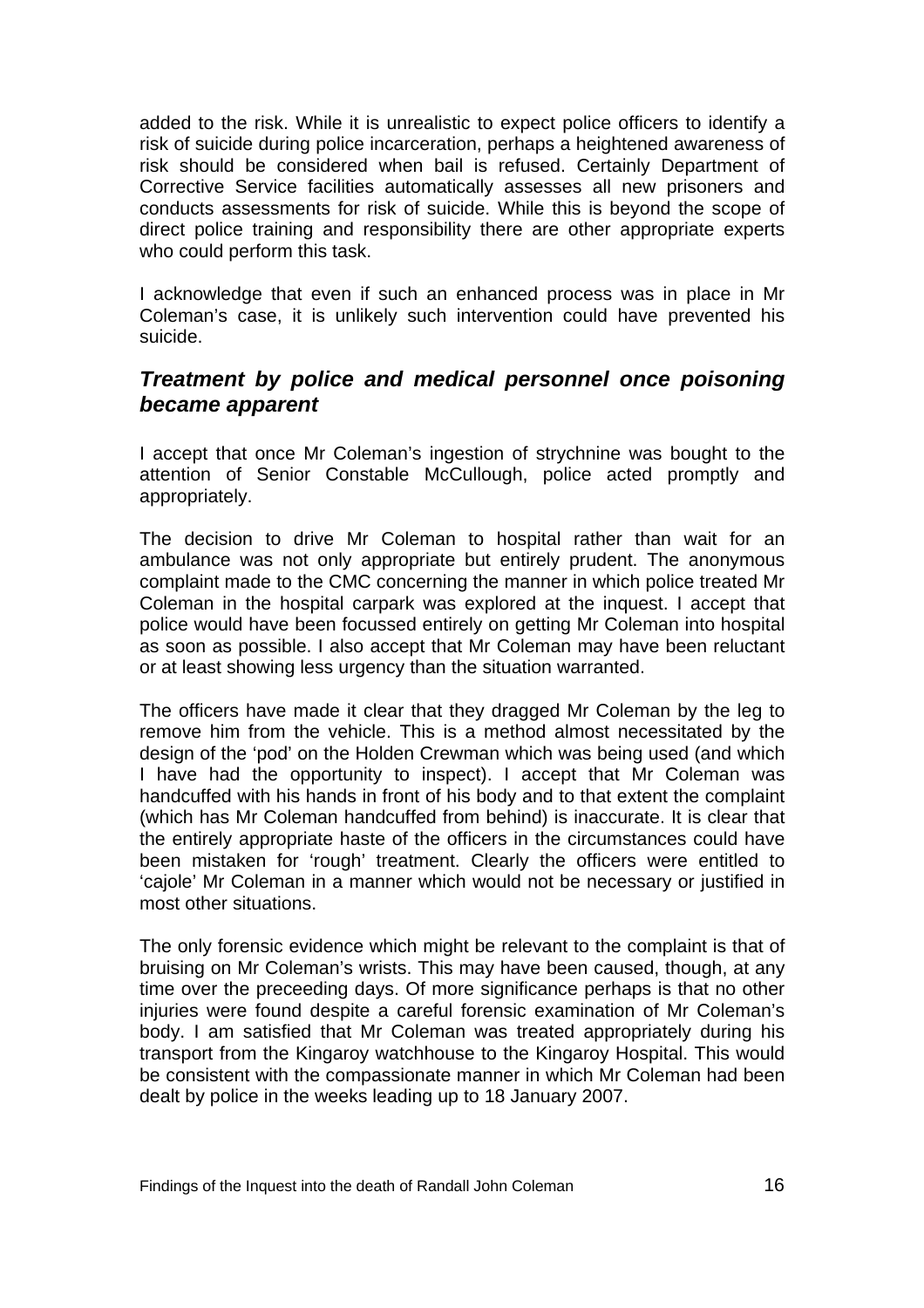added to the risk. While it is unrealistic to expect police officers to identify a risk of suicide during police incarceration, perhaps a heightened awareness of risk should be considered when bail is refused. Certainly Department of Corrective Service facilities automatically assesses all new prisoners and conducts assessments for risk of suicide. While this is beyond the scope of direct police training and responsibility there are other appropriate experts who could perform this task.

I acknowledge that even if such an enhanced process was in place in Mr Coleman's case, it is unlikely such intervention could have prevented his suicide.

#### *Treatment by police and medical personnel once poisoning became apparent*

I accept that once Mr Coleman's ingestion of strychnine was bought to the attention of Senior Constable McCullough, police acted promptly and appropriately.

The decision to drive Mr Coleman to hospital rather than wait for an ambulance was not only appropriate but entirely prudent. The anonymous complaint made to the CMC concerning the manner in which police treated Mr Coleman in the hospital carpark was explored at the inquest. I accept that police would have been focussed entirely on getting Mr Coleman into hospital as soon as possible. I also accept that Mr Coleman may have been reluctant or at least showing less urgency than the situation warranted.

The officers have made it clear that they dragged Mr Coleman by the leg to remove him from the vehicle. This is a method almost necessitated by the design of the 'pod' on the Holden Crewman which was being used (and which I have had the opportunity to inspect). I accept that Mr Coleman was handcuffed with his hands in front of his body and to that extent the complaint (which has Mr Coleman handcuffed from behind) is inaccurate. It is clear that the entirely appropriate haste of the officers in the circumstances could have been mistaken for 'rough' treatment. Clearly the officers were entitled to 'cajole' Mr Coleman in a manner which would not be necessary or justified in most other situations.

The only forensic evidence which might be relevant to the complaint is that of bruising on Mr Coleman's wrists. This may have been caused, though, at any time over the preceeding days. Of more significance perhaps is that no other injuries were found despite a careful forensic examination of Mr Coleman's body. I am satisfied that Mr Coleman was treated appropriately during his transport from the Kingaroy watchhouse to the Kingaroy Hospital. This would be consistent with the compassionate manner in which Mr Coleman had been dealt by police in the weeks leading up to 18 January 2007.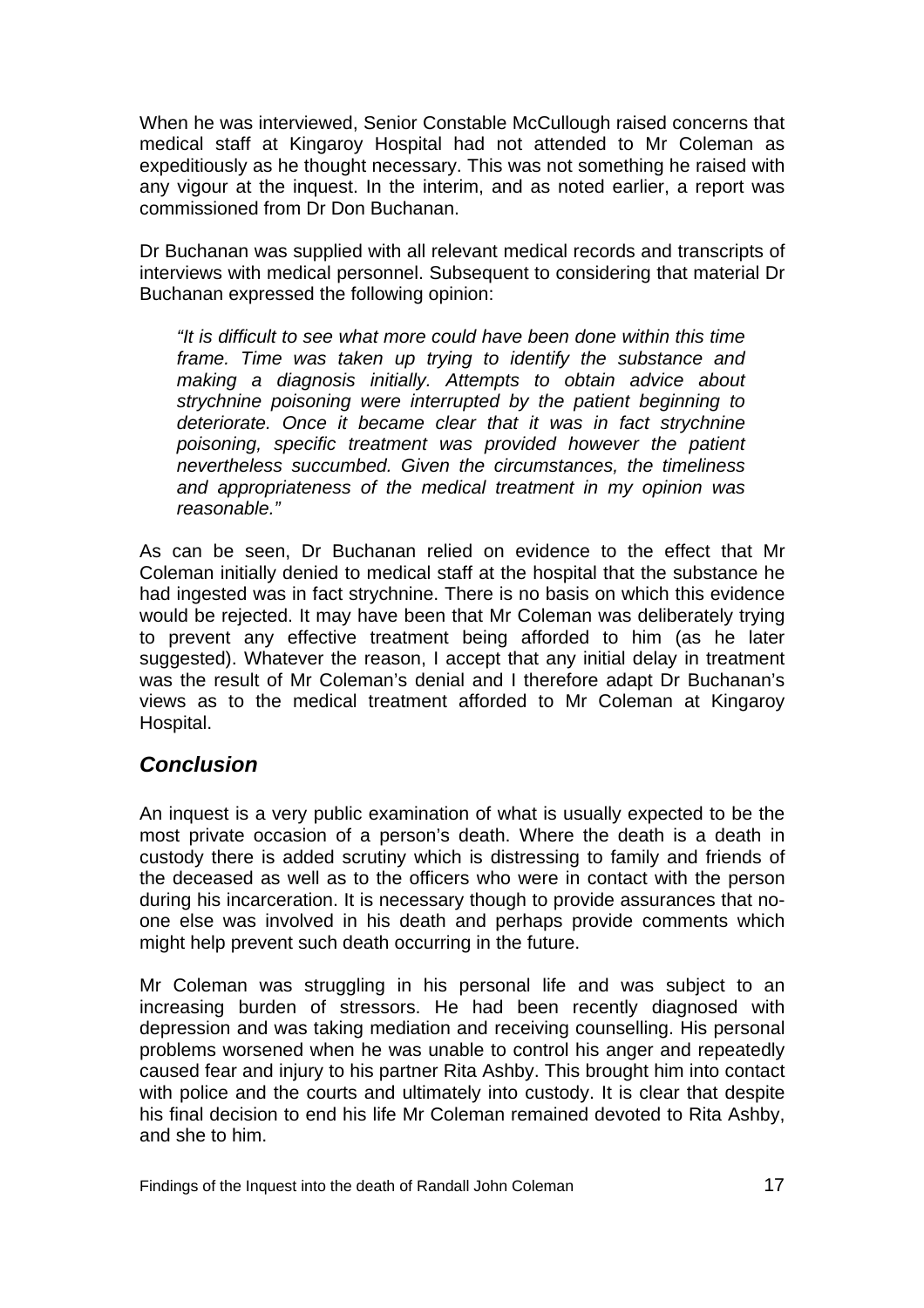When he was interviewed, Senior Constable McCullough raised concerns that medical staff at Kingaroy Hospital had not attended to Mr Coleman as expeditiously as he thought necessary. This was not something he raised with any vigour at the inquest. In the interim, and as noted earlier, a report was commissioned from Dr Don Buchanan.

Dr Buchanan was supplied with all relevant medical records and transcripts of interviews with medical personnel. Subsequent to considering that material Dr Buchanan expressed the following opinion:

*"It is difficult to see what more could have been done within this time frame. Time was taken up trying to identify the substance and making a diagnosis initially. Attempts to obtain advice about strychnine poisoning were interrupted by the patient beginning to deteriorate. Once it became clear that it was in fact strychnine poisoning, specific treatment was provided however the patient nevertheless succumbed. Given the circumstances, the timeliness and appropriateness of the medical treatment in my opinion was reasonable."* 

As can be seen, Dr Buchanan relied on evidence to the effect that Mr Coleman initially denied to medical staff at the hospital that the substance he had ingested was in fact strychnine. There is no basis on which this evidence would be rejected. It may have been that Mr Coleman was deliberately trying to prevent any effective treatment being afforded to him (as he later suggested). Whatever the reason, I accept that any initial delay in treatment was the result of Mr Coleman's denial and I therefore adapt Dr Buchanan's views as to the medical treatment afforded to Mr Coleman at Kingaroy Hospital.

#### *Conclusion*

An inquest is a very public examination of what is usually expected to be the most private occasion of a person's death. Where the death is a death in custody there is added scrutiny which is distressing to family and friends of the deceased as well as to the officers who were in contact with the person during his incarceration. It is necessary though to provide assurances that noone else was involved in his death and perhaps provide comments which might help prevent such death occurring in the future.

Mr Coleman was struggling in his personal life and was subject to an increasing burden of stressors. He had been recently diagnosed with depression and was taking mediation and receiving counselling. His personal problems worsened when he was unable to control his anger and repeatedly caused fear and injury to his partner Rita Ashby. This brought him into contact with police and the courts and ultimately into custody. It is clear that despite his final decision to end his life Mr Coleman remained devoted to Rita Ashby, and she to him.